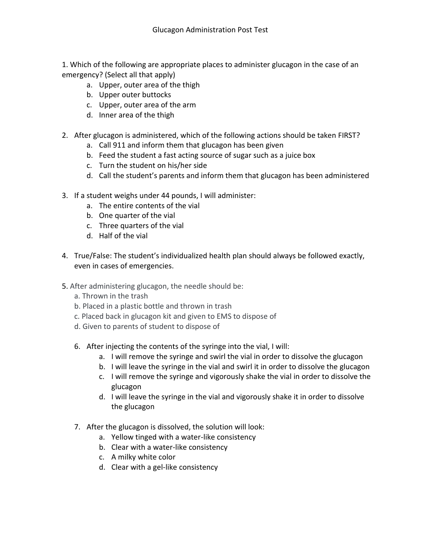1. Which of the following are appropriate places to administer glucagon in the case of an emergency? (Select all that apply)

- a. Upper, outer area of the thigh
- b. Upper outer buttocks
- c. Upper, outer area of the arm
- d. Inner area of the thigh
- 2. After glucagon is administered, which of the following actions should be taken FIRST?
	- a. Call 911 and inform them that glucagon has been given
	- b. Feed the student a fast acting source of sugar such as a juice box
	- c. Turn the student on his/her side
	- d. Call the student's parents and inform them that glucagon has been administered
- 3. If a student weighs under 44 pounds, I will administer:
	- a. The entire contents of the vial
	- b. One quarter of the vial
	- c. Three quarters of the vial
	- d. Half of the vial
- 4. True/False: The student's individualized health plan should always be followed exactly, even in cases of emergencies.
- 5. After administering glucagon, the needle should be:
	- a. Thrown in the trash
	- b. Placed in a plastic bottle and thrown in trash
	- c. Placed back in glucagon kit and given to EMS to dispose of
	- d. Given to parents of student to dispose of
	- 6. After injecting the contents of the syringe into the vial, I will:
		- a. I will remove the syringe and swirl the vial in order to dissolve the glucagon
		- b. I will leave the syringe in the vial and swirl it in order to dissolve the glucagon
		- c. I will remove the syringe and vigorously shake the vial in order to dissolve the glucagon
		- d. I will leave the syringe in the vial and vigorously shake it in order to dissolve the glucagon
	- 7. After the glucagon is dissolved, the solution will look:
		- a. Yellow tinged with a water-like consistency
		- b. Clear with a water-like consistency
		- c. A milky white color
		- d. Clear with a gel-like consistency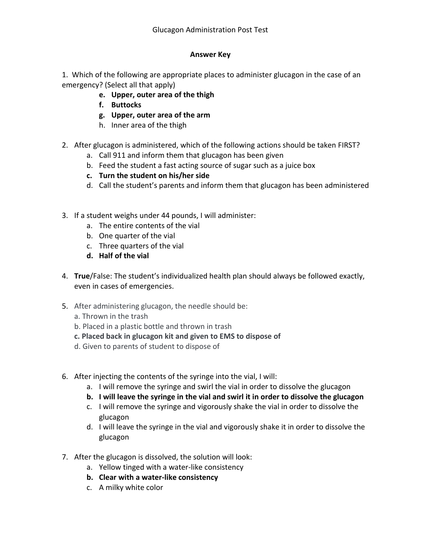## **Answer Key**

1. Which of the following are appropriate places to administer glucagon in the case of an emergency? (Select all that apply)

- **e. Upper, outer area of the thigh**
- **f. Buttocks**
- **g. Upper, outer area of the arm**
- h. Inner area of the thigh
- 2. After glucagon is administered, which of the following actions should be taken FIRST?
	- a. Call 911 and inform them that glucagon has been given
	- b. Feed the student a fast acting source of sugar such as a juice box
	- **c. Turn the student on his/her side**
	- d. Call the student's parents and inform them that glucagon has been administered
- 3. If a student weighs under 44 pounds, I will administer:
	- a. The entire contents of the vial
	- b. One quarter of the vial
	- c. Three quarters of the vial
	- **d. Half of the vial**
- 4. **True**/False: The student's individualized health plan should always be followed exactly, even in cases of emergencies.
- 5. After administering glucagon, the needle should be:
	- a. Thrown in the trash
	- b. Placed in a plastic bottle and thrown in trash
	- **c. Placed back in glucagon kit and given to EMS to dispose of**
	- d. Given to parents of student to dispose of
- 6. After injecting the contents of the syringe into the vial, I will:
	- a. I will remove the syringe and swirl the vial in order to dissolve the glucagon
	- **b. I will leave the syringe in the vial and swirl it in order to dissolve the glucagon**
	- c. I will remove the syringe and vigorously shake the vial in order to dissolve the glucagon
	- d. I will leave the syringe in the vial and vigorously shake it in order to dissolve the glucagon
- 7. After the glucagon is dissolved, the solution will look:
	- a. Yellow tinged with a water-like consistency
	- **b. Clear with a water-like consistency**
	- c. A milky white color